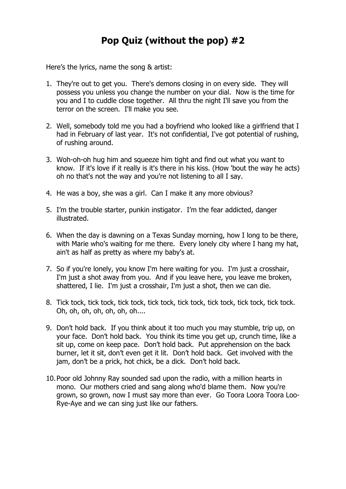Here's the lyrics, name the song & artist:

- 1. They're out to get you. There's demons closing in on every side. They will possess you unless you change the number on your dial. Now is the time for you and I to cuddle close together. All thru the night I'll save you from the terror on the screen. I'll make you see.
- 2. Well, somebody told me you had a boyfriend who looked like a girlfriend that I had in February of last year. It's not confidential, I've got potential of rushing, of rushing around.
- 3. Woh-oh-oh hug him and squeeze him tight and find out what you want to know. If it's love if it really is it's there in his kiss. (How 'bout the way he acts) oh no that's not the way and you're not listening to all I say.
- 4. He was a boy, she was a girl. Can I make it any more obvious?
- 5. I'm the trouble starter, punkin instigator. I'm the fear addicted, danger illustrated.
- 6. When the day is dawning on a Texas Sunday morning, how I long to be there, with Marie who's waiting for me there. Every lonely city where I hang my hat, ain't as half as pretty as where my baby's at.
- 7. So if you're lonely, you know I'm here waiting for you. I'm just a crosshair, I'm just a shot away from you. And if you leave here, you leave me broken, shattered, I lie. I'm just a crosshair, I'm just a shot, then we can die.
- 8. Tick tock, tick tock, tick tock, tick tock, tick tock, tick tock, tick tock, tick tock. Oh, oh, oh, oh, oh, oh, oh....
- 9. Don't hold back. If you think about it too much you may stumble, trip up, on your face. Don't hold back. You think its time you get up, crunch time, like a sit up, come on keep pace. Don't hold back. Put apprehension on the back burner, let it sit, don't even get it lit. Don't hold back. Get involved with the jam, don't be a prick, hot chick, be a dick. Don't hold back.
- 10.Poor old Johnny Ray sounded sad upon the radio, with a million hearts in mono. Our mothers cried and sang along who'd blame them. Now you're grown, so grown, now I must say more than ever. Go Toora Loora Toora Loo-Rye-Aye and we can sing just like our fathers.